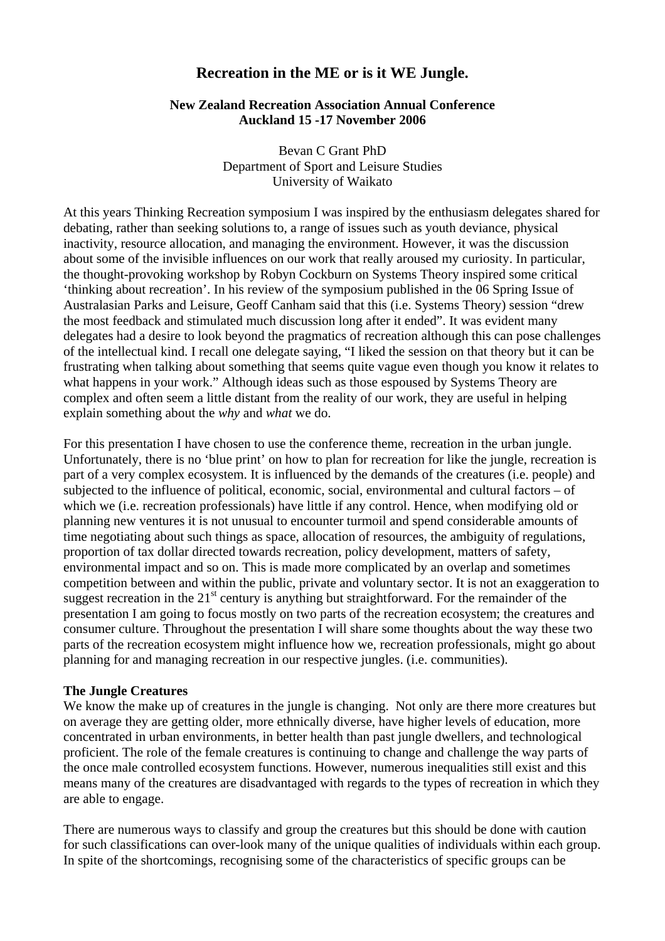# **Recreation in the ME or is it WE Jungle.**

### **New Zealand Recreation Association Annual Conference Auckland 15 -17 November 2006**

Bevan C Grant PhD Department of Sport and Leisure Studies University of Waikato

At this years Thinking Recreation symposium I was inspired by the enthusiasm delegates shared for debating, rather than seeking solutions to, a range of issues such as youth deviance, physical inactivity, resource allocation, and managing the environment. However, it was the discussion about some of the invisible influences on our work that really aroused my curiosity. In particular, the thought-provoking workshop by Robyn Cockburn on Systems Theory inspired some critical 'thinking about recreation'. In his review of the symposium published in the 06 Spring Issue of Australasian Parks and Leisure, Geoff Canham said that this (i.e. Systems Theory) session "drew the most feedback and stimulated much discussion long after it ended". It was evident many delegates had a desire to look beyond the pragmatics of recreation although this can pose challenges of the intellectual kind. I recall one delegate saying, "I liked the session on that theory but it can be frustrating when talking about something that seems quite vague even though you know it relates to what happens in your work." Although ideas such as those espoused by Systems Theory are complex and often seem a little distant from the reality of our work, they are useful in helping explain something about the *why* and *what* we do.

For this presentation I have chosen to use the conference theme, recreation in the urban jungle. Unfortunately, there is no 'blue print' on how to plan for recreation for like the jungle, recreation is part of a very complex ecosystem. It is influenced by the demands of the creatures (i.e. people) and subjected to the influence of political, economic, social, environmental and cultural factors – of which we (i.e. recreation professionals) have little if any control. Hence, when modifying old or planning new ventures it is not unusual to encounter turmoil and spend considerable amounts of time negotiating about such things as space, allocation of resources, the ambiguity of regulations, proportion of tax dollar directed towards recreation, policy development, matters of safety, environmental impact and so on. This is made more complicated by an overlap and sometimes competition between and within the public, private and voluntary sector. It is not an exaggeration to suggest recreation in the  $21<sup>st</sup>$  century is anything but straightforward. For the remainder of the presentation I am going to focus mostly on two parts of the recreation ecosystem; the creatures and consumer culture. Throughout the presentation I will share some thoughts about the way these two parts of the recreation ecosystem might influence how we, recreation professionals, might go about planning for and managing recreation in our respective jungles. (i.e. communities).

#### **The Jungle Creatures**

We know the make up of creatures in the jungle is changing. Not only are there more creatures but on average they are getting older, more ethnically diverse, have higher levels of education, more concentrated in urban environments, in better health than past jungle dwellers, and technological proficient. The role of the female creatures is continuing to change and challenge the way parts of the once male controlled ecosystem functions. However, numerous inequalities still exist and this means many of the creatures are disadvantaged with regards to the types of recreation in which they are able to engage.

There are numerous ways to classify and group the creatures but this should be done with caution for such classifications can over-look many of the unique qualities of individuals within each group. In spite of the shortcomings, recognising some of the characteristics of specific groups can be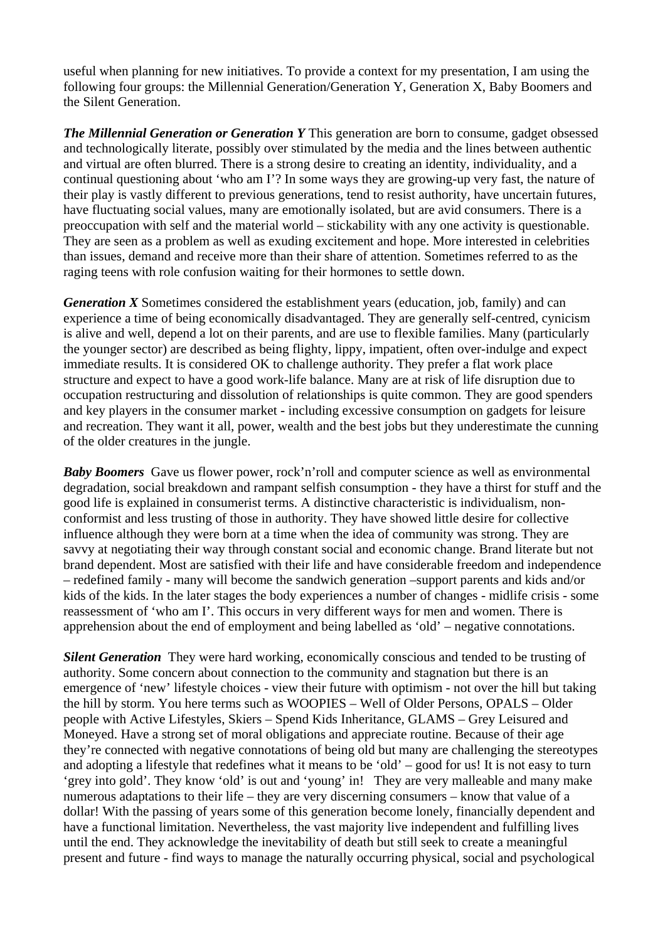useful when planning for new initiatives. To provide a context for my presentation, I am using the following four groups: the Millennial Generation/Generation Y, Generation X, Baby Boomers and the Silent Generation.

*The Millennial Generation or Generation Y* This generation are born to consume, gadget obsessed and technologically literate, possibly over stimulated by the media and the lines between authentic and virtual are often blurred. There is a strong desire to creating an identity, individuality, and a continual questioning about 'who am I'? In some ways they are growing-up very fast, the nature of their play is vastly different to previous generations, tend to resist authority, have uncertain futures, have fluctuating social values, many are emotionally isolated, but are avid consumers. There is a preoccupation with self and the material world – stickability with any one activity is questionable. They are seen as a problem as well as exuding excitement and hope. More interested in celebrities than issues, demand and receive more than their share of attention. Sometimes referred to as the raging teens with role confusion waiting for their hormones to settle down.

*Generation X* Sometimes considered the establishment years (education, job, family) and can experience a time of being economically disadvantaged. They are generally self-centred, cynicism is alive and well, depend a lot on their parents, and are use to flexible families. Many (particularly the younger sector) are described as being flighty, lippy, impatient, often over-indulge and expect immediate results. It is considered OK to challenge authority. They prefer a flat work place structure and expect to have a good work-life balance. Many are at risk of life disruption due to occupation restructuring and dissolution of relationships is quite common. They are good spenders and key players in the consumer market - including excessive consumption on gadgets for leisure and recreation. They want it all, power, wealth and the best jobs but they underestimate the cunning of the older creatures in the jungle.

*Baby Boomers* Gave us flower power, rock'n'roll and computer science as well as environmental degradation, social breakdown and rampant selfish consumption - they have a thirst for stuff and the good life is explained in consumerist terms. A distinctive characteristic is individualism, nonconformist and less trusting of those in authority. They have showed little desire for collective influence although they were born at a time when the idea of community was strong. They are savvy at negotiating their way through constant social and economic change. Brand literate but not brand dependent. Most are satisfied with their life and have considerable freedom and independence – redefined family - many will become the sandwich generation –support parents and kids and/or kids of the kids. In the later stages the body experiences a number of changes - midlife crisis - some reassessment of 'who am I'. This occurs in very different ways for men and women. There is apprehension about the end of employment and being labelled as 'old' – negative connotations.

**Silent Generation** They were hard working, economically conscious and tended to be trusting of authority. Some concern about connection to the community and stagnation but there is an emergence of 'new' lifestyle choices - view their future with optimism - not over the hill but taking the hill by storm. You here terms such as WOOPIES – Well of Older Persons, OPALS – Older people with Active Lifestyles, Skiers – Spend Kids Inheritance, GLAMS – Grey Leisured and Moneyed. Have a strong set of moral obligations and appreciate routine. Because of their age they're connected with negative connotations of being old but many are challenging the stereotypes and adopting a lifestyle that redefines what it means to be 'old' – good for us! It is not easy to turn 'grey into gold'. They know 'old' is out and 'young' in! They are very malleable and many make numerous adaptations to their life – they are very discerning consumers – know that value of a dollar! With the passing of years some of this generation become lonely, financially dependent and have a functional limitation. Nevertheless, the vast majority live independent and fulfilling lives until the end. They acknowledge the inevitability of death but still seek to create a meaningful present and future - find ways to manage the naturally occurring physical, social and psychological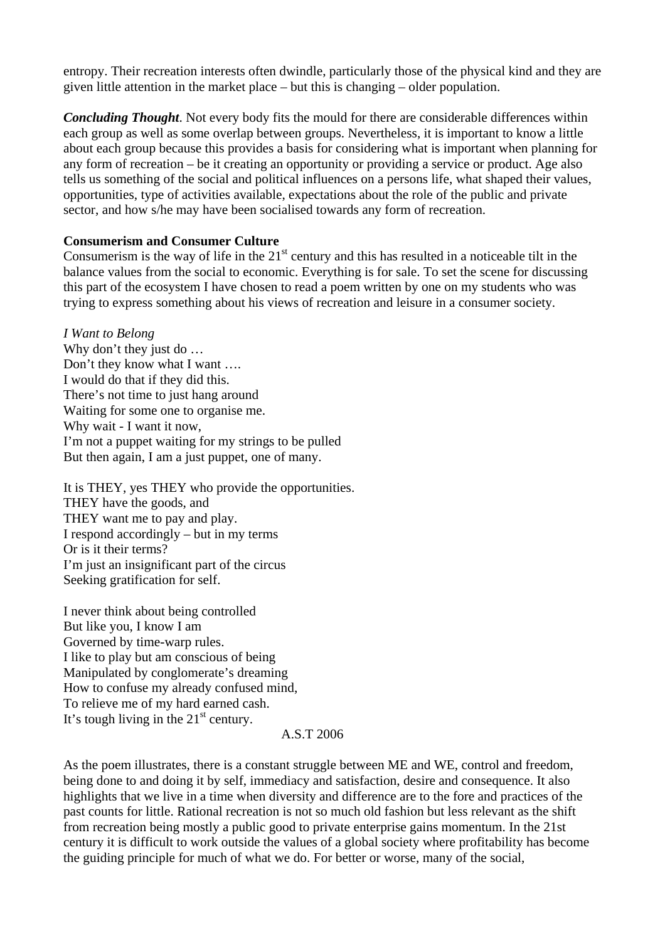entropy. Their recreation interests often dwindle, particularly those of the physical kind and they are given little attention in the market place – but this is changing – older population.

*Concluding Thought*. Not every body fits the mould for there are considerable differences within each group as well as some overlap between groups. Nevertheless, it is important to know a little about each group because this provides a basis for considering what is important when planning for any form of recreation – be it creating an opportunity or providing a service or product. Age also tells us something of the social and political influences on a persons life, what shaped their values, opportunities, type of activities available, expectations about the role of the public and private sector, and how s/he may have been socialised towards any form of recreation.

# **Consumerism and Consumer Culture**

Consumerism is the way of life in the  $21<sup>st</sup>$  century and this has resulted in a noticeable tilt in the balance values from the social to economic. Everything is for sale. To set the scene for discussing this part of the ecosystem I have chosen to read a poem written by one on my students who was trying to express something about his views of recreation and leisure in a consumer society.

*I Want to Belong*  Why don't they just do ... Don't they know what I want …. I would do that if they did this. There's not time to just hang around Waiting for some one to organise me. Why wait - I want it now, I'm not a puppet waiting for my strings to be pulled But then again, I am a just puppet, one of many.

It is THEY, yes THEY who provide the opportunities. THEY have the goods, and THEY want me to pay and play. I respond accordingly – but in my terms Or is it their terms? I'm just an insignificant part of the circus Seeking gratification for self.

I never think about being controlled But like you, I know I am Governed by time-warp rules. I like to play but am conscious of being Manipulated by conglomerate's dreaming How to confuse my already confused mind, To relieve me of my hard earned cash. It's tough living in the  $21<sup>st</sup>$  century.

#### A.S.T 2006

As the poem illustrates, there is a constant struggle between ME and WE, control and freedom, being done to and doing it by self, immediacy and satisfaction, desire and consequence. It also highlights that we live in a time when diversity and difference are to the fore and practices of the past counts for little. Rational recreation is not so much old fashion but less relevant as the shift from recreation being mostly a public good to private enterprise gains momentum. In the 21st century it is difficult to work outside the values of a global society where profitability has become the guiding principle for much of what we do. For better or worse, many of the social,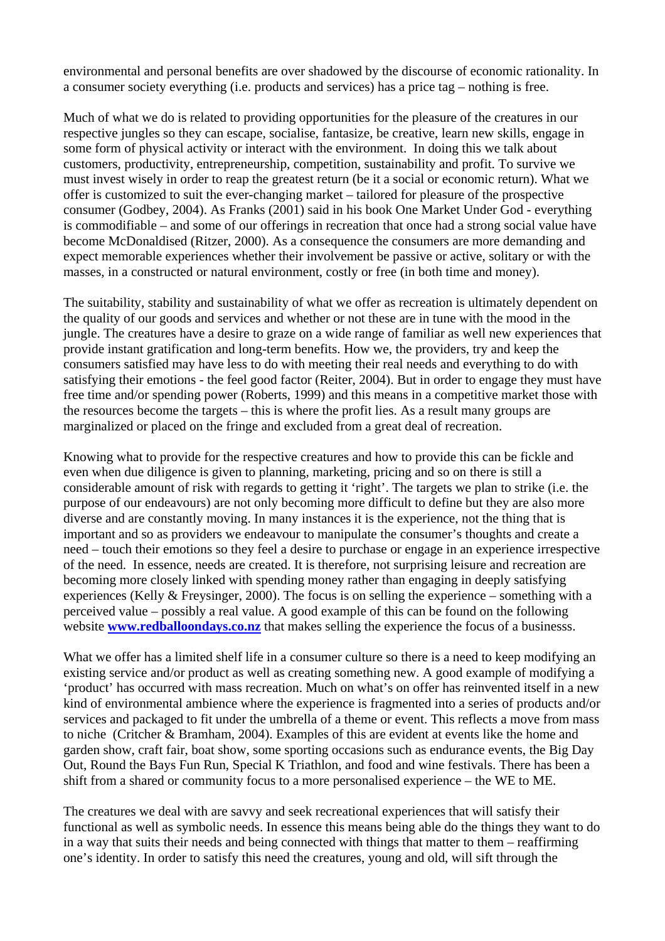environmental and personal benefits are over shadowed by the discourse of economic rationality. In a consumer society everything (i.e. products and services) has a price tag – nothing is free.

Much of what we do is related to providing opportunities for the pleasure of the creatures in our respective jungles so they can escape, socialise, fantasize, be creative, learn new skills, engage in some form of physical activity or interact with the environment. In doing this we talk about customers, productivity, entrepreneurship, competition, sustainability and profit. To survive we must invest wisely in order to reap the greatest return (be it a social or economic return). What we offer is customized to suit the ever-changing market – tailored for pleasure of the prospective consumer (Godbey, 2004). As Franks (2001) said in his book One Market Under God - everything is commodifiable – and some of our offerings in recreation that once had a strong social value have become McDonaldised (Ritzer, 2000). As a consequence the consumers are more demanding and expect memorable experiences whether their involvement be passive or active, solitary or with the masses, in a constructed or natural environment, costly or free (in both time and money).

The suitability, stability and sustainability of what we offer as recreation is ultimately dependent on the quality of our goods and services and whether or not these are in tune with the mood in the jungle. The creatures have a desire to graze on a wide range of familiar as well new experiences that provide instant gratification and long-term benefits. How we, the providers, try and keep the consumers satisfied may have less to do with meeting their real needs and everything to do with satisfying their emotions - the feel good factor (Reiter, 2004). But in order to engage they must have free time and/or spending power (Roberts, 1999) and this means in a competitive market those with the resources become the targets – this is where the profit lies. As a result many groups are marginalized or placed on the fringe and excluded from a great deal of recreation.

Knowing what to provide for the respective creatures and how to provide this can be fickle and even when due diligence is given to planning, marketing, pricing and so on there is still a considerable amount of risk with regards to getting it 'right'. The targets we plan to strike (i.e. the purpose of our endeavours) are not only becoming more difficult to define but they are also more diverse and are constantly moving. In many instances it is the experience, not the thing that is important and so as providers we endeavour to manipulate the consumer's thoughts and create a need – touch their emotions so they feel a desire to purchase or engage in an experience irrespective of the need. In essence, needs are created. It is therefore, not surprising leisure and recreation are becoming more closely linked with spending money rather than engaging in deeply satisfying experiences (Kelly & Freysinger, 2000). The focus is on selling the experience – something with a perceived value – possibly a real value. A good example of this can be found on the following website **[www.redballoondays.co.nz](http://www.redballoondays.co.nz)** that makes selling the experience the focus of a businesss.

What we offer has a limited shelf life in a consumer culture so there is a need to keep modifying an existing service and/or product as well as creating something new. A good example of modifying a 'product' has occurred with mass recreation. Much on what's on offer has reinvented itself in a new kind of environmental ambience where the experience is fragmented into a series of products and/or services and packaged to fit under the umbrella of a theme or event. This reflects a move from mass to niche (Critcher & Bramham, 2004). Examples of this are evident at events like the home and garden show, craft fair, boat show, some sporting occasions such as endurance events, the Big Day Out, Round the Bays Fun Run, Special K Triathlon, and food and wine festivals. There has been a shift from a shared or community focus to a more personalised experience – the WE to ME.

The creatures we deal with are savvy and seek recreational experiences that will satisfy their functional as well as symbolic needs. In essence this means being able do the things they want to do in a way that suits their needs and being connected with things that matter to them – reaffirming one's identity. In order to satisfy this need the creatures, young and old, will sift through the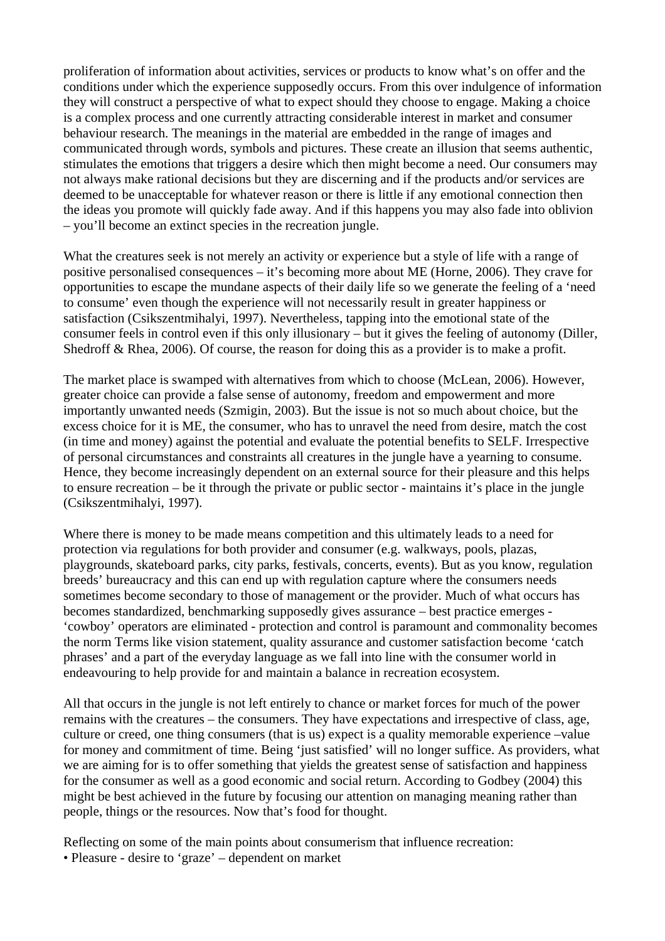proliferation of information about activities, services or products to know what's on offer and the conditions under which the experience supposedly occurs. From this over indulgence of information they will construct a perspective of what to expect should they choose to engage. Making a choice is a complex process and one currently attracting considerable interest in market and consumer behaviour research. The meanings in the material are embedded in the range of images and communicated through words, symbols and pictures. These create an illusion that seems authentic, stimulates the emotions that triggers a desire which then might become a need. Our consumers may not always make rational decisions but they are discerning and if the products and/or services are deemed to be unacceptable for whatever reason or there is little if any emotional connection then the ideas you promote will quickly fade away. And if this happens you may also fade into oblivion – you'll become an extinct species in the recreation jungle.

What the creatures seek is not merely an activity or experience but a style of life with a range of positive personalised consequences – it's becoming more about ME (Horne, 2006). They crave for opportunities to escape the mundane aspects of their daily life so we generate the feeling of a 'need to consume' even though the experience will not necessarily result in greater happiness or satisfaction (Csikszentmihalyi, 1997). Nevertheless, tapping into the emotional state of the consumer feels in control even if this only illusionary – but it gives the feeling of autonomy (Diller, Shedroff & Rhea, 2006). Of course, the reason for doing this as a provider is to make a profit.

The market place is swamped with alternatives from which to choose (McLean, 2006). However, greater choice can provide a false sense of autonomy, freedom and empowerment and more importantly unwanted needs (Szmigin, 2003). But the issue is not so much about choice, but the excess choice for it is ME, the consumer, who has to unravel the need from desire, match the cost (in time and money) against the potential and evaluate the potential benefits to SELF. Irrespective of personal circumstances and constraints all creatures in the jungle have a yearning to consume. Hence, they become increasingly dependent on an external source for their pleasure and this helps to ensure recreation – be it through the private or public sector - maintains it's place in the jungle (Csikszentmihalyi, 1997).

Where there is money to be made means competition and this ultimately leads to a need for protection via regulations for both provider and consumer (e.g. walkways, pools, plazas, playgrounds, skateboard parks, city parks, festivals, concerts, events). But as you know, regulation breeds' bureaucracy and this can end up with regulation capture where the consumers needs sometimes become secondary to those of management or the provider. Much of what occurs has becomes standardized, benchmarking supposedly gives assurance – best practice emerges - 'cowboy' operators are eliminated - protection and control is paramount and commonality becomes the norm Terms like vision statement, quality assurance and customer satisfaction become 'catch phrases' and a part of the everyday language as we fall into line with the consumer world in endeavouring to help provide for and maintain a balance in recreation ecosystem.

All that occurs in the jungle is not left entirely to chance or market forces for much of the power remains with the creatures – the consumers. They have expectations and irrespective of class, age, culture or creed, one thing consumers (that is us) expect is a quality memorable experience –value for money and commitment of time. Being 'just satisfied' will no longer suffice. As providers, what we are aiming for is to offer something that yields the greatest sense of satisfaction and happiness for the consumer as well as a good economic and social return. According to Godbey (2004) this might be best achieved in the future by focusing our attention on managing meaning rather than people, things or the resources. Now that's food for thought.

Reflecting on some of the main points about consumerism that influence recreation: • Pleasure - desire to 'graze' – dependent on market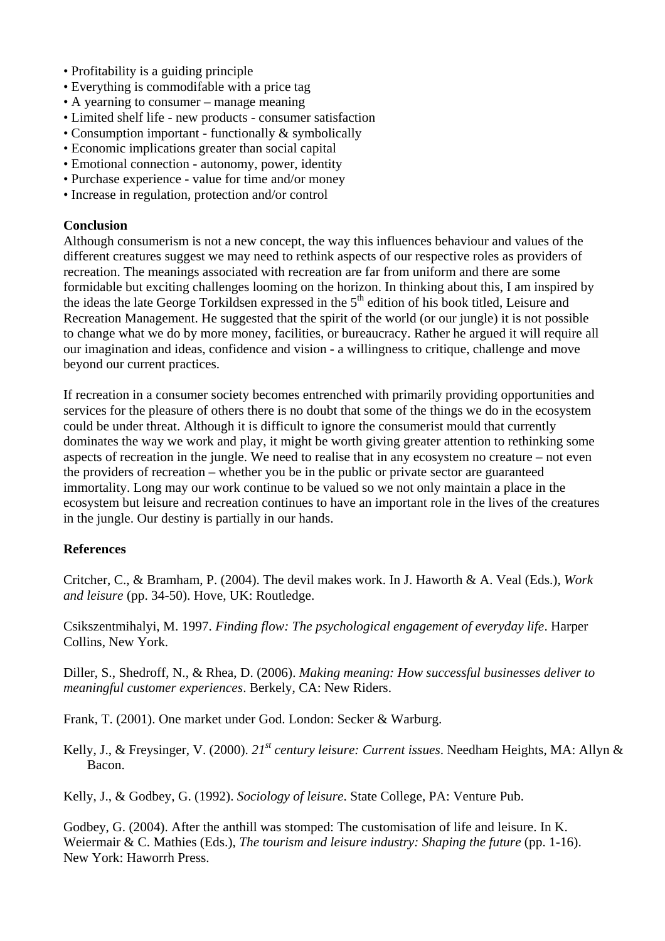- Profitability is a guiding principle
- Everything is commodifable with a price tag
- A yearning to consumer manage meaning
- Limited shelf life new products consumer satisfaction
- Consumption important functionally & symbolically
- Economic implications greater than social capital
- Emotional connection autonomy, power, identity
- Purchase experience value for time and/or money
- Increase in regulation, protection and/or control

### **Conclusion**

Although consumerism is not a new concept, the way this influences behaviour and values of the different creatures suggest we may need to rethink aspects of our respective roles as providers of recreation. The meanings associated with recreation are far from uniform and there are some formidable but exciting challenges looming on the horizon. In thinking about this, I am inspired by the ideas the late George Torkildsen expressed in the 5<sup>th</sup> edition of his book titled, Leisure and Recreation Management. He suggested that the spirit of the world (or our jungle) it is not possible to change what we do by more money, facilities, or bureaucracy. Rather he argued it will require all our imagination and ideas, confidence and vision - a willingness to critique, challenge and move beyond our current practices.

If recreation in a consumer society becomes entrenched with primarily providing opportunities and services for the pleasure of others there is no doubt that some of the things we do in the ecosystem could be under threat. Although it is difficult to ignore the consumerist mould that currently dominates the way we work and play, it might be worth giving greater attention to rethinking some aspects of recreation in the jungle. We need to realise that in any ecosystem no creature – not even the providers of recreation – whether you be in the public or private sector are guaranteed immortality. Long may our work continue to be valued so we not only maintain a place in the ecosystem but leisure and recreation continues to have an important role in the lives of the creatures in the jungle. Our destiny is partially in our hands.

# **References**

Critcher, C., & Bramham, P. (2004). The devil makes work. In J. Haworth & A. Veal (Eds.), *Work and leisure* (pp. 34-50). Hove, UK: Routledge.

Csikszentmihalyi, M. 1997. *Finding flow: The psychological engagement of everyday life*. Harper Collins, New York.

Diller, S., Shedroff, N., & Rhea, D. (2006). *Making meaning: How successful businesses deliver to meaningful customer experiences*. Berkely, CA: New Riders.

Frank, T. (2001). One market under God. London: Secker & Warburg.

Kelly, J., & Freysinger, V. (2000). *21st century leisure: Current issues*. Needham Heights, MA: Allyn & Bacon.

Kelly, J., & Godbey, G. (1992). *Sociology of leisure*. State College, PA: Venture Pub.

Godbey, G. (2004). After the anthill was stomped: The customisation of life and leisure. In K. Weiermair & C. Mathies (Eds.), *The tourism and leisure industry: Shaping the future* (pp. 1-16). New York: Haworrh Press.